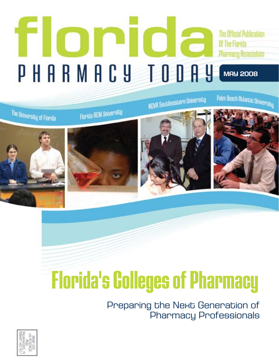## TION **The Official Publication** Of The Florida **Pharmacy Association** PHARMACY TODAY **MAY 2008**



# **Florida's Colleges of Pharmacy**

Preparing the Next Generation of Pharmacy Professionals

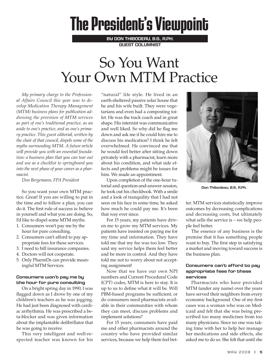## **The President's Viewpoint**

**by Don Thibodeau, B.S., R.Ph. Guest Columnist**

## So You Want Your Own MTM Practice

*My primary charge to the Professional Affairs Council this year was to develop Medication Therapy Management (MTM) business plans for publication addressing the provision of MTM services as part of one's traditional practice, as an aside to one's practice, and as one's primary practice. This guest editorial, written by the chair of that council, dispels some of the myths surrounding MTM. A future article will provide you with an essential foundation: a business plan that you can tear out and use as a checklist to springboard you into the next phase of your career as a pharmacist.*

*Don Bergemann, FPA President*

So you want your own MTM practice. Great! If you are willing to put in the time and to follow a plan, you can do it. The first rule of success is: believe in yourself and what you are doing. So, I'd like to dispel some MTM myths.

- 1. Consumers won't pay me by the hour for pure consulting.
- 2. Consumers can't afford to pay appropriate fees for these services.
- 3. I need to bill insurance companies.
- 4. Doctors will not cooperate.
- 5. Only PharmDs can provide meaningful MTM Services.

#### **Consumers won't pay me by the hour for pure consulting**

On a bright spring day in 1990, I was flagged down as I drove by one of my children's teachers as he was jogging. He had just been diagnosed with cardiac arrhythmia. He was prescribed a beta-blocker and was given information about the implantable defibrillator that he was going to receive.

This very intelligent and well-respected teacher was known for his "natural" life style. He lived in an earth-sheltered passive solar house that he and his wife built. They were vegetarians and even had a composting toilet. He was the track coach and in great shape. His internist was communicative and well liked. So why did he flag me down and ask me if he could hire me to discuss his medication? I think he felt overwhelmed. He convinced me that he would feel better after sitting down privately with a pharmacist, learn more about his condition, and what side effects and problems might be issues for him. We made an appointment.

Upon completion of the one-hour tutorial and question-and-answer session, he took out his checkbook. With a smile and a look of tranquility that I had not seen on his face in some time, he asked how much he could pay me. It's been that way ever since.

For 15 years, my patients have driven me to grow my MTM services. My patients have insisted on paying me for my time and information. They have told me that my fee was too low. They said my service helps them feel better and be more in control. And they have told me not to worry about not accepting assignment!

Now that we have our own NPI numbers and Current Procedural Code (CPT) codes, MTM is here to stay. It is up to us to define what it will be. Will PBM-based programs be sufficient, or do consumers need pharmacists available in their communities with whom they can meet, discuss problems and implement solutions?

For 15 years, consumers have paid me and other pharmacists around the country who have provided similar services, because we help them feel bet-



**Don Thibodeau, B.S., R.Ph.**

ter. MTM services statistically improve outcomes by decreasing complications and decreasing costs, but ultimately what sells the service is – we help people feel better.

The essence of any business is the premise that it has something people want to buy. The first step in satisfying a market and moving toward success is the business plan.

#### **Consumers can't afford to pay appropriate fees for these services**

Pharmacists who have provided MTM (under any name) over the years have served their neighbors from every economic background. One of my first cases was a woman who was on Medicaid and felt that she was being prescribed too many medicines from too many physicians. Since no one was taking time with her to help her manage her medications and side effects, she asked me to do so. She felt that until she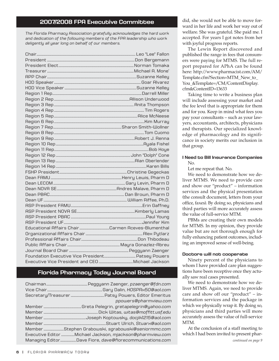#### **2007/2008 FPA Executive Committee**

*The Florida Pharmacy Association gratefully acknowledges the hard work and dedication of the following members of the FPA leadership who work deligently all year long on behalf of our members.*

| Educational Affairs ChairCarmen Aceves-Blumenthal |  |
|---------------------------------------------------|--|
|                                                   |  |
|                                                   |  |
|                                                   |  |
|                                                   |  |
|                                                   |  |
|                                                   |  |

#### **Florida Pharmacy Today Journal Board**

Chairman...............................................Peggyann Zaenger, *pzaenger@fdn.com* Vice Chair...............................................................Gary Dalin, *HOSPRx50@aol.com* Secretary/Treasurer ......................................Patsy Powers, Editor Emeritus *ppowers@pharmview.com* Member ...........................................Greta Pelegrin, *gretapelegrin@yahoo.com* Member ..............................................................Dick Witas, *witas@moffitt.usf.edu* Member ................................................Joseph Koptowsky, *docjik1215@aol.com* Member *.......................................................................*Stuart Ulrich, *Stuarx@aol.com* Member *.......................*Stephen Grabowski, *sgrabowski@seniormmc.com* Executive Editor ...............Michael Jackson, *mjackson@pharmview.com* Managing Editor..................Dave Fiore, *dave@fiorecommunications.com*

did, she would not be able to move forward in her life and work her way out of welfare. She was grateful. She paid me. I accepted. For years I got notes from her with joyful progress reports.

The Lewin Report discovered and published the range in fees that consumers were paying for MTMS. The full report prepared for APhA can be found here: http://www.pharmacist.com/AM/ Template.cfm?Section=MTM\_New\_to\_ You\_&Template=/CM/ContentDisplay. cfm&ContentID=13633

Taking time to write a business plan will include assessing your market and the fee level that is appropriate for them and for you. Keep in mind what fees you pay your consultants – such as your lawyers, accountants, architects, physicians and therapists. Our specialized knowledge of pharmacology and its significance in society merits our inclusion in that group.

#### **I Need to Bill Insurance Companies** No.

Let me repeat that. No.

We need to demonstrate how we deliver MTMS. We need to provide care and show our "product" – information services and the physical presentation (the consult document, letters from your office, faxes). By doing so, physicians and third parties will more accurately assess the value of full-service MTM.

PBMs are creating their own models for MTMS. In my opinion, they provide value but are not thorough enough for fully enhancing patient outcomes, including an improved sense of well-being.

#### **Doctors will not cooperate**

Ninety percent of the physicians to whom I have provided care plan suggestions have been receptive once they actually saw real cases presented.

We need to demonstrate how we deliver MTMS. Again, we need to provide care and show off our "product" – information services and the package in which we physically wrap it. By doing so, physicians and third parties will more accurately assess the value of full-service MTM.

At the conclusion of a staff meeting to which I had been invited to present phar-